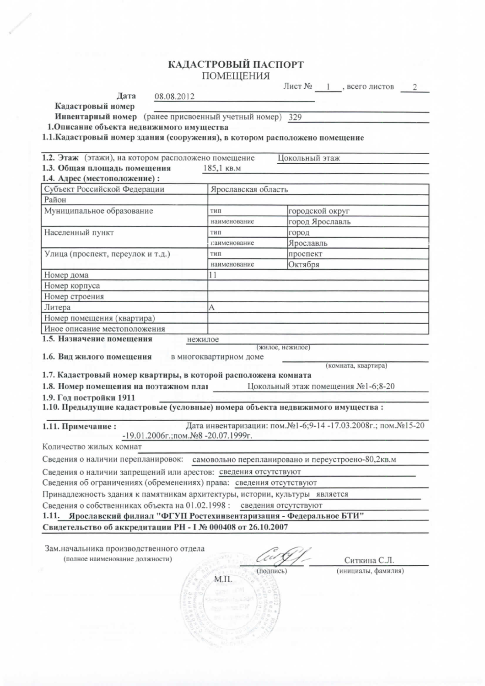## КАДАСТРОВЫЙ ПАСПОРТ ПОМЕЩЕНИЯ

|                                                                               |                                                         |                                                                                                     |                 | Лист № 1, всего листов             | $\overline{2}$ |
|-------------------------------------------------------------------------------|---------------------------------------------------------|-----------------------------------------------------------------------------------------------------|-----------------|------------------------------------|----------------|
| Дата                                                                          | 08.08.2012                                              |                                                                                                     |                 |                                    |                |
| Кадастровый номер                                                             |                                                         |                                                                                                     |                 |                                    |                |
|                                                                               | Инвентарный номер (ранее присвоенный учетный номер) 329 |                                                                                                     |                 |                                    |                |
| 1. Описание объекта недвижимого имущества                                     |                                                         |                                                                                                     |                 |                                    |                |
| 1.1. Кадастровый номер здания (сооружения), в котором расположено помещение   |                                                         |                                                                                                     |                 |                                    |                |
| 1.2. Этаж (этажи), на котором расположено помещение                           |                                                         | Цокольный этаж                                                                                      |                 |                                    |                |
| 1.3. Общая площадь помещения                                                  |                                                         | 185,1 KB.M                                                                                          |                 |                                    |                |
| 1.4. Адрес (местоположение):                                                  |                                                         |                                                                                                     |                 |                                    |                |
| Субъект Российской Федерации                                                  |                                                         | Ярославская область                                                                                 |                 |                                    |                |
| Район                                                                         |                                                         |                                                                                                     |                 |                                    |                |
| Муниципальное образование                                                     |                                                         | тип                                                                                                 | городской округ |                                    |                |
|                                                                               |                                                         | наименование                                                                                        | город Ярославль |                                    |                |
| Населенный пункт                                                              |                                                         | тип                                                                                                 | город           |                                    |                |
|                                                                               |                                                         | глименование                                                                                        | Ярославль       |                                    |                |
| Улица (проспект, переулок и т.д.)                                             |                                                         | тип                                                                                                 | проспект        |                                    |                |
|                                                                               |                                                         | наименование                                                                                        | Октября         |                                    |                |
| Номер дома                                                                    |                                                         | 11                                                                                                  |                 |                                    |                |
| Номер корпуса                                                                 |                                                         |                                                                                                     |                 |                                    |                |
| Номер строения                                                                |                                                         |                                                                                                     |                 |                                    |                |
| Литера                                                                        |                                                         | А                                                                                                   |                 |                                    |                |
| Номер помещения (квартира)                                                    |                                                         |                                                                                                     |                 |                                    |                |
| Иное описание местоположения                                                  |                                                         |                                                                                                     |                 |                                    |                |
| 1.5. Назначение помещения                                                     |                                                         | нежилое                                                                                             |                 |                                    |                |
|                                                                               |                                                         | (жилое, нежилое)                                                                                    |                 |                                    |                |
| 1.6. Вид жилого помещения                                                     |                                                         | в многоквартирном доме                                                                              |                 | (комната, квартира)                |                |
| 1.7. Кадастровый номер квартиры, в которой расположена комната                |                                                         |                                                                                                     |                 |                                    |                |
| 1.8. Номер помещения на поэтажном план                                        |                                                         |                                                                                                     |                 | Цокольный этаж помещения №1-6;8-20 |                |
| 1.9. Год постройки 1911                                                       |                                                         |                                                                                                     |                 |                                    |                |
| 1.10. Предыдущие кадастровые (условные) номера объекта недвижимого имущества: |                                                         |                                                                                                     |                 |                                    |                |
|                                                                               |                                                         |                                                                                                     |                 |                                    |                |
| 1.11. Примечание:                                                             |                                                         | Дата инвентаризации: пом.№1-6;9-14-17.03.2008г.; пом.№15-20<br>-19.01.2006г.; пом. №8 -20.07.1999г. |                 |                                    |                |
| Количество жилых комнат                                                       |                                                         |                                                                                                     |                 |                                    |                |
| Сведения о наличии перепланировок:                                            |                                                         | самовольно перепланировано и переустроено-80,2кв.м                                                  |                 |                                    |                |
| Сведения о наличии запрещений или арестов: сведения отсутствуют               |                                                         |                                                                                                     |                 |                                    |                |
| Сведения об ограничениях (обременениях) права: сведения отсутствуют           |                                                         |                                                                                                     |                 |                                    |                |
| Принадлежность здания к памятникам архитектуры, истории, культуры является    |                                                         |                                                                                                     |                 |                                    |                |
| Сведения о собственниках объекта на 01.02.1998: сведения отсутствуют          |                                                         |                                                                                                     |                 |                                    |                |
| 1.11. Ярославский филиал "ФГУП Ростехинвентаризация - Федеральное БТИ"        |                                                         |                                                                                                     |                 |                                    |                |
|                                                                               |                                                         |                                                                                                     |                 |                                    |                |
| Свидетельство об аккредитации РН - I № 000408 от 26.10.2007                   |                                                         |                                                                                                     |                 |                                    |                |
| Зам.начальника производственного отдела                                       |                                                         |                                                                                                     |                 |                                    |                |
| (полное наименование должности)                                               |                                                         |                                                                                                     |                 |                                    |                |
|                                                                               |                                                         |                                                                                                     |                 | Ситкина С.Л.                       |                |
|                                                                               |                                                         | (подпись)                                                                                           |                 | (инициалы, фамилия)                |                |